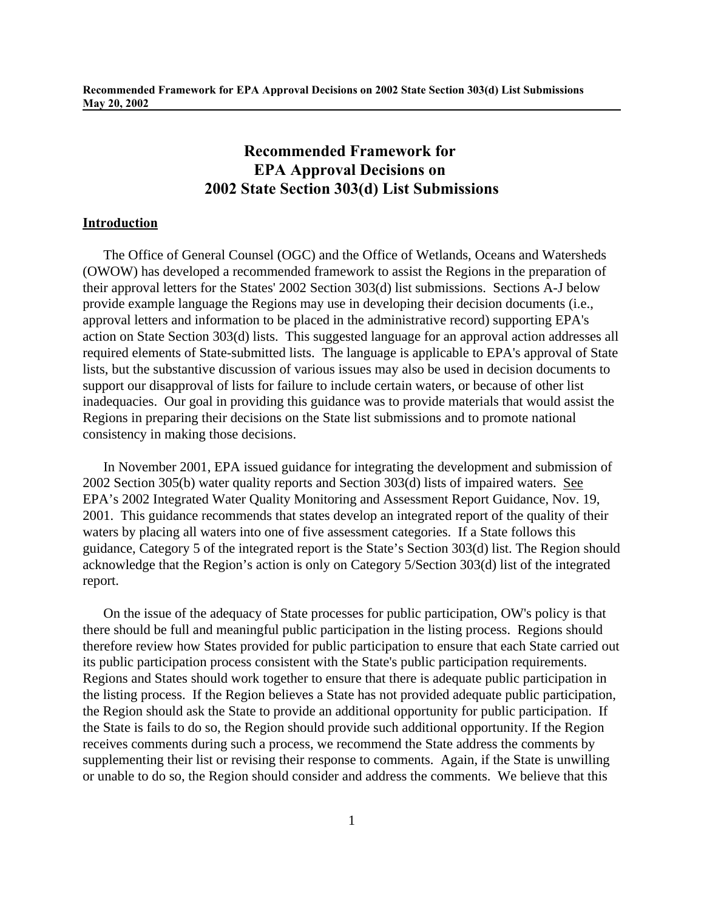# **Introduction**

The Office of General Counsel (OGC) and the Office of Wetlands, Oceans and Watersheds (OWOW) has developed a recommended framework to assist the Regions in the preparation of their approval letters for the States' 2002 Section 303(d) list submissions. Sections A-J below provide example language the Regions may use in developing their decision documents (i.e., approval letters and information to be placed in the administrative record) supporting EPA's action on State Section 303(d) lists. This suggested language for an approval action addresses all required elements of State-submitted lists. The language is applicable to EPA's approval of State lists, but the substantive discussion of various issues may also be used in decision documents to support our disapproval of lists for failure to include certain waters, or because of other list inadequacies. Our goal in providing this guidance was to provide materials that would assist the Regions in preparing their decisions on the State list submissions and to promote national consistency in making those decisions.

In November 2001, EPA issued guidance for integrating the development and submission of 2002 Section 305(b) water quality reports and Section 303(d) lists of impaired waters. See EPA's 2002 Integrated Water Quality Monitoring and Assessment Report Guidance, Nov. 19, 2001. This guidance recommends that states develop an integrated report of the quality of their waters by placing all waters into one of five assessment categories. If a State follows this guidance, Category 5 of the integrated report is the State's Section 303(d) list. The Region should acknowledge that the Region's action is only on Category 5/Section 303(d) list of the integrated report.

On the issue of the adequacy of State processes for public participation, OW's policy is that there should be full and meaningful public participation in the listing process. Regions should therefore review how States provided for public participation to ensure that each State carried out its public participation process consistent with the State's public participation requirements. Regions and States should work together to ensure that there is adequate public participation in the listing process. If the Region believes a State has not provided adequate public participation, the Region should ask the State to provide an additional opportunity for public participation. If the State is fails to do so, the Region should provide such additional opportunity. If the Region receives comments during such a process, we recommend the State address the comments by supplementing their list or revising their response to comments. Again, if the State is unwilling or unable to do so, the Region should consider and address the comments. We believe that this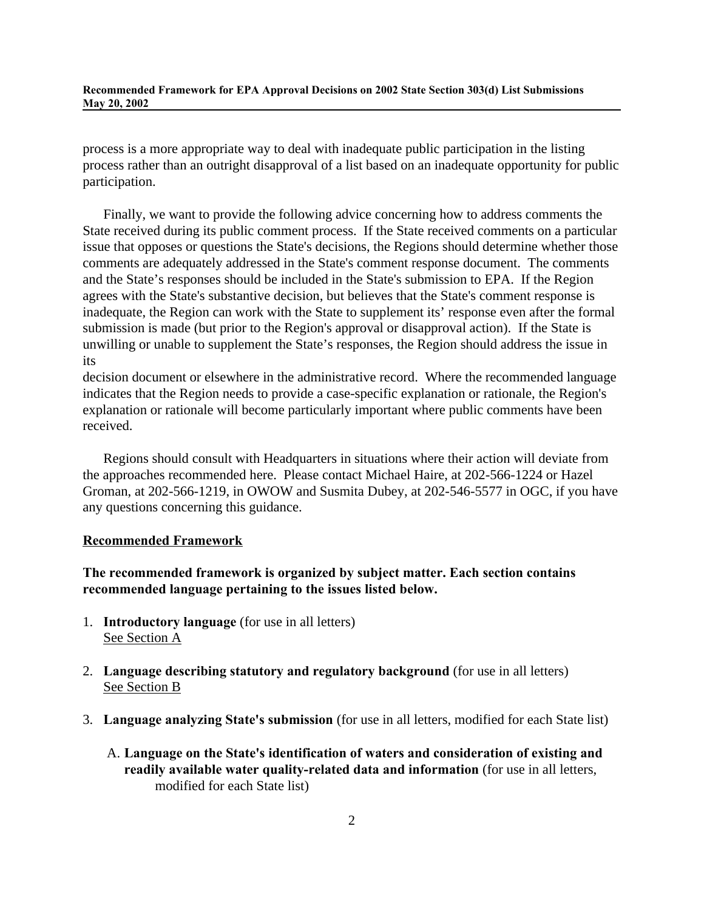process is a more appropriate way to deal with inadequate public participation in the listing process rather than an outright disapproval of a list based on an inadequate opportunity for public participation.

Finally, we want to provide the following advice concerning how to address comments the State received during its public comment process. If the State received comments on a particular issue that opposes or questions the State's decisions, the Regions should determine whether those comments are adequately addressed in the State's comment response document. The comments and the State's responses should be included in the State's submission to EPA. If the Region agrees with the State's substantive decision, but believes that the State's comment response is inadequate, the Region can work with the State to supplement its' response even after the formal submission is made (but prior to the Region's approval or disapproval action). If the State is unwilling or unable to supplement the State's responses, the Region should address the issue in its

decision document or elsewhere in the administrative record. Where the recommended language indicates that the Region needs to provide a case-specific explanation or rationale, the Region's explanation or rationale will become particularly important where public comments have been received.

Regions should consult with Headquarters in situations where their action will deviate from the approaches recommended here. Please contact Michael Haire, at 202-566-1224 or Hazel Groman, at 202-566-1219, in OWOW and Susmita Dubey, at 202-546-5577 in OGC, if you have any questions concerning this guidance.

### **Recommended Framework**

**The recommended framework is organized by subject matter. Each section contains recommended language pertaining to the issues listed below.**

- 1. **Introductory language** (for use in all letters) See Section A
- 2. **Language describing statutory and regulatory background** (for use in all letters) See Section B
- 3. **Language analyzing State's submission** (for use in all letters, modified for each State list)
	- A. **Language on the State's identification of waters and consideration of existing and readily available water quality-related data and information** (for use in all letters, modified for each State list)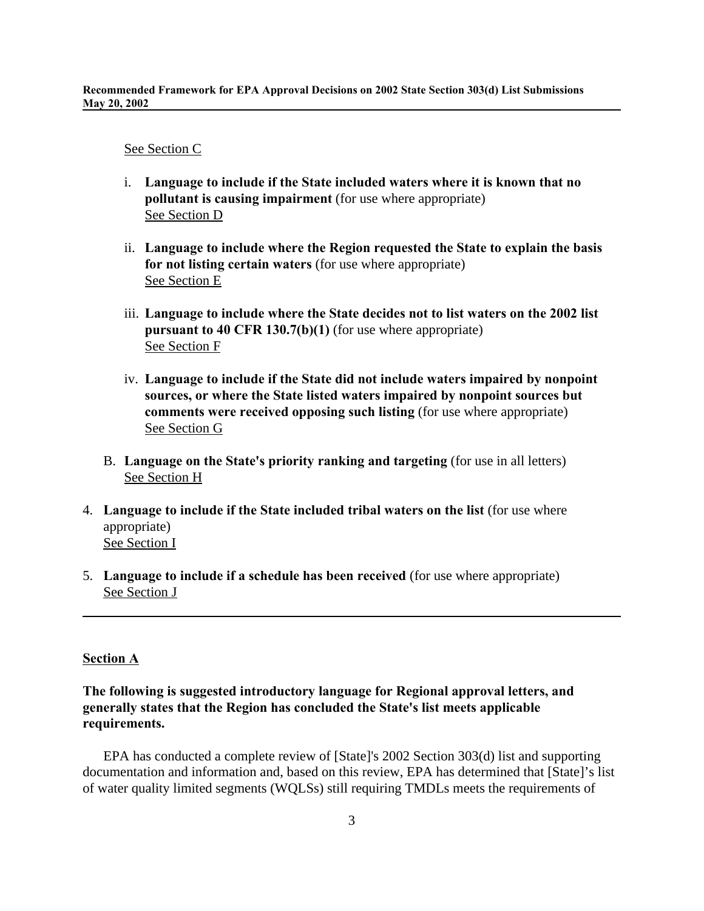### See Section C

- i. **Language to include if the State included waters where it is known that no pollutant is causing impairment** (for use where appropriate) See Section D
- ii. **Language to include where the Region requested the State to explain the basis for not listing certain waters** (for use where appropriate) See Section E
- iii. **Language to include where the State decides not to list waters on the 2002 list pursuant to 40 CFR 130.7(b)(1)** (for use where appropriate) See Section F
- iv. **Language to include if the State did not include waters impaired by nonpoint sources, or where the State listed waters impaired by nonpoint sources but comments were received opposing such listing** (for use where appropriate) See Section G
- B. **Language on the State's priority ranking and targeting** (for use in all letters) See Section H
- 4. **Language to include if the State included tribal waters on the list** (for use where appropriate) See Section I
- 5. **Language to include if a schedule has been received** (for use where appropriate) See Section J

### **Section A**

# **The following is suggested introductory language for Regional approval letters, and generally states that the Region has concluded the State's list meets applicable requirements.**

EPA has conducted a complete review of [State]'s 2002 Section 303(d) list and supporting documentation and information and, based on this review, EPA has determined that [State]'s list of water quality limited segments (WQLSs) still requiring TMDLs meets the requirements of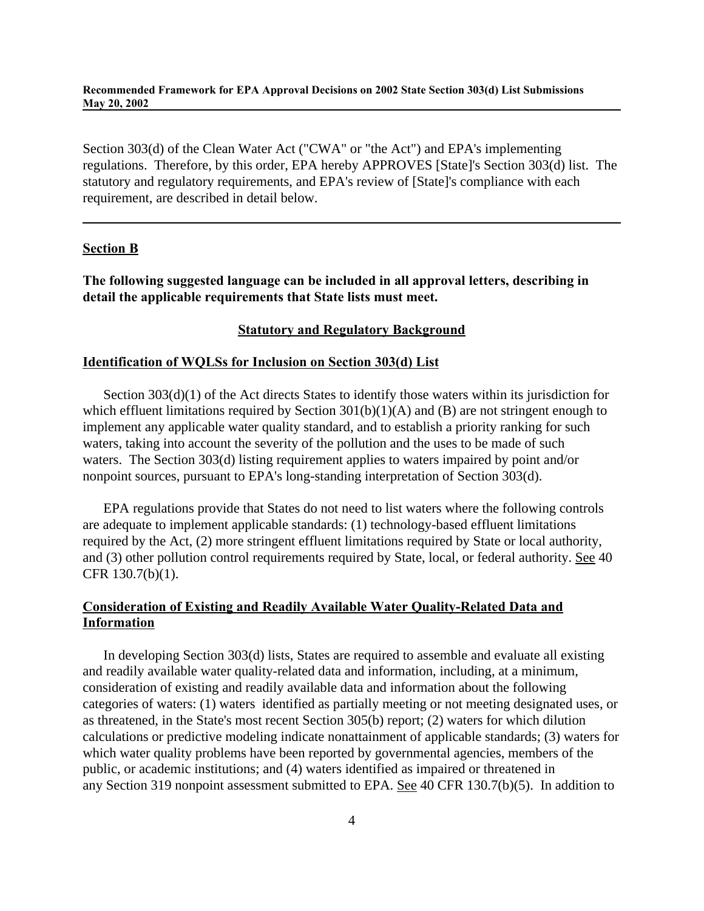Section 303(d) of the Clean Water Act ("CWA" or "the Act") and EPA's implementing regulations. Therefore, by this order, EPA hereby APPROVES [State]'s Section 303(d) list. The statutory and regulatory requirements, and EPA's review of [State]'s compliance with each requirement, are described in detail below.

#### **Section B**

**The following suggested language can be included in all approval letters, describing in detail the applicable requirements that State lists must meet.** 

# **Statutory and Regulatory Background**

### **Identification of WQLSs for Inclusion on Section 303(d) List**

Section 303(d)(1) of the Act directs States to identify those waters within its jurisdiction for which effluent limitations required by Section 301(b)(1)(A) and (B) are not stringent enough to implement any applicable water quality standard, and to establish a priority ranking for such waters, taking into account the severity of the pollution and the uses to be made of such waters. The Section 303(d) listing requirement applies to waters impaired by point and/or nonpoint sources, pursuant to EPA's long-standing interpretation of Section 303(d).

EPA regulations provide that States do not need to list waters where the following controls are adequate to implement applicable standards: (1) technology-based effluent limitations required by the Act, (2) more stringent effluent limitations required by State or local authority, and (3) other pollution control requirements required by State, local, or federal authority. See 40 CFR 130.7(b)(1).

# **Consideration of Existing and Readily Available Water Quality-Related Data and Information**

In developing Section 303(d) lists, States are required to assemble and evaluate all existing and readily available water quality-related data and information, including, at a minimum, consideration of existing and readily available data and information about the following categories of waters: (1) waters identified as partially meeting or not meeting designated uses, or as threatened, in the State's most recent Section 305(b) report; (2) waters for which dilution calculations or predictive modeling indicate nonattainment of applicable standards; (3) waters for which water quality problems have been reported by governmental agencies, members of the public, or academic institutions; and (4) waters identified as impaired or threatened in any Section 319 nonpoint assessment submitted to EPA. See 40 CFR 130.7(b)(5). In addition to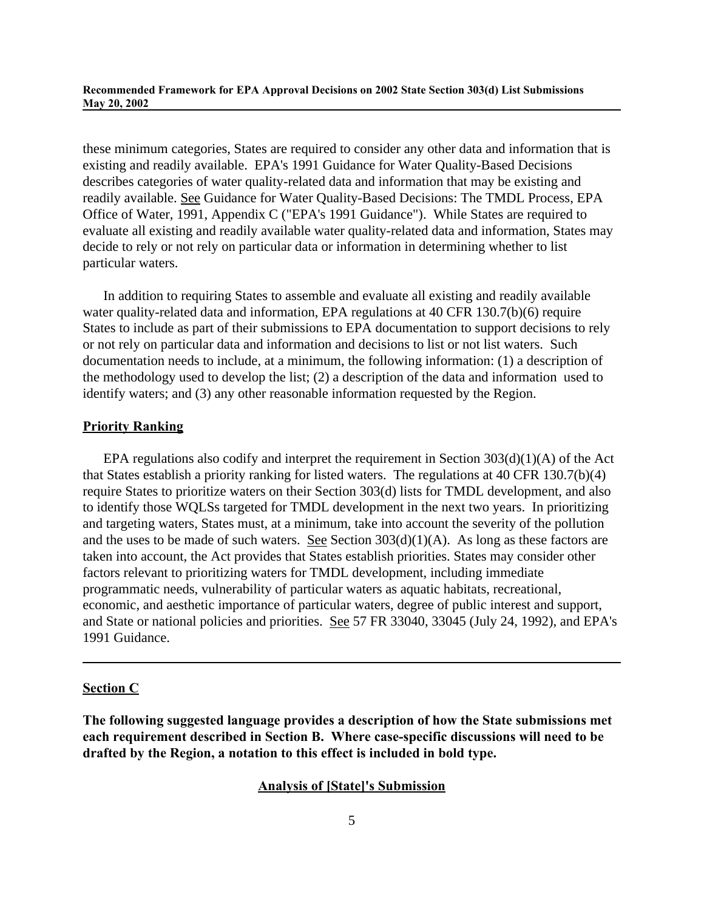these minimum categories, States are required to consider any other data and information that is existing and readily available. EPA's 1991 Guidance for Water Quality-Based Decisions describes categories of water quality-related data and information that may be existing and readily available. See Guidance for Water Quality-Based Decisions: The TMDL Process, EPA Office of Water, 1991, Appendix C ("EPA's 1991 Guidance"). While States are required to evaluate all existing and readily available water quality-related data and information, States may decide to rely or not rely on particular data or information in determining whether to list particular waters.

In addition to requiring States to assemble and evaluate all existing and readily available water quality-related data and information, EPA regulations at 40 CFR 130.7(b)(6) require States to include as part of their submissions to EPA documentation to support decisions to rely or not rely on particular data and information and decisions to list or not list waters. Such documentation needs to include, at a minimum, the following information: (1) a description of the methodology used to develop the list; (2) a description of the data and information used to identify waters; and (3) any other reasonable information requested by the Region.

# **Priority Ranking**

EPA regulations also codify and interpret the requirement in Section  $303(d)(1)(A)$  of the Act that States establish a priority ranking for listed waters. The regulations at 40 CFR 130.7(b)(4) require States to prioritize waters on their Section 303(d) lists for TMDL development, and also to identify those WQLSs targeted for TMDL development in the next two years. In prioritizing and targeting waters, States must, at a minimum, take into account the severity of the pollution and the uses to be made of such waters. See Section  $303(d)(1)(A)$ . As long as these factors are taken into account, the Act provides that States establish priorities. States may consider other factors relevant to prioritizing waters for TMDL development, including immediate programmatic needs, vulnerability of particular waters as aquatic habitats, recreational, economic, and aesthetic importance of particular waters, degree of public interest and support, and State or national policies and priorities. See 57 FR 33040, 33045 (July 24, 1992), and EPA's 1991 Guidance.

#### **Section C**

**The following suggested language provides a description of how the State submissions met each requirement described in Section B. Where case-specific discussions will need to be drafted by the Region, a notation to this effect is included in bold type.**

#### **Analysis of [State]'s Submission**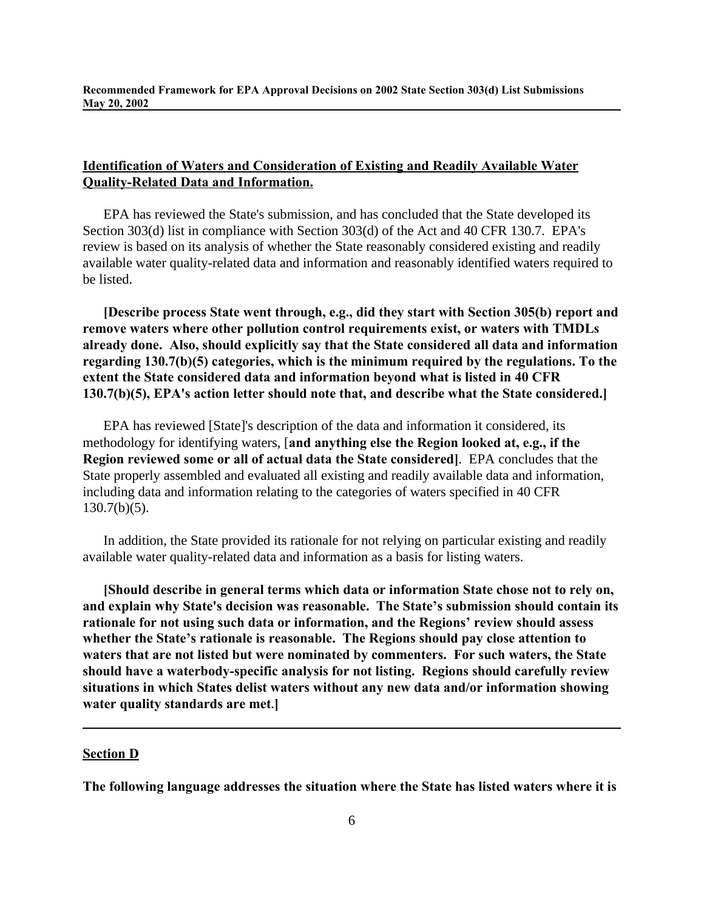# **Identification of Waters and Consideration of Existing and Readily Available Water Quality-Related Data and Information.**

EPA has reviewed the State's submission, and has concluded that the State developed its Section 303(d) list in compliance with Section 303(d) of the Act and 40 CFR 130.7. EPA's review is based on its analysis of whether the State reasonably considered existing and readily available water quality-related data and information and reasonably identified waters required to be listed.

**[Describe process State went through, e.g., did they start with Section 305(b) report and remove waters where other pollution control requirements exist, or waters with TMDLs already done. Also, should explicitly say that the State considered all data and information regarding 130.7(b)(5) categories, which is the minimum required by the regulations. To the extent the State considered data and information beyond what is listed in 40 CFR 130.7(b)(5), EPA's action letter should note that, and describe what the State considered.]** 

EPA has reviewed [State]'s description of the data and information it considered, its methodology for identifying waters, [**and anything else the Region looked at, e.g., if the Region reviewed some or all of actual data the State considered]**. EPA concludes that the State properly assembled and evaluated all existing and readily available data and information, including data and information relating to the categories of waters specified in 40 CFR  $130.7(b)(5)$ .

In addition, the State provided its rationale for not relying on particular existing and readily available water quality-related data and information as a basis for listing waters.

**[Should describe in general terms which data or information State chose not to rely on, and explain why State's decision was reasonable. The State's submission should contain its rationale for not using such data or information, and the Regions' review should assess whether the State's rationale is reasonable. The Regions should pay close attention to waters that are not listed but were nominated by commenters. For such waters, the State should have a waterbody-specific analysis for not listing. Regions should carefully review situations in which States delist waters without any new data and/or information showing water quality standards are met.]**

### **Section D**

**The following language addresses the situation where the State has listed waters where it is**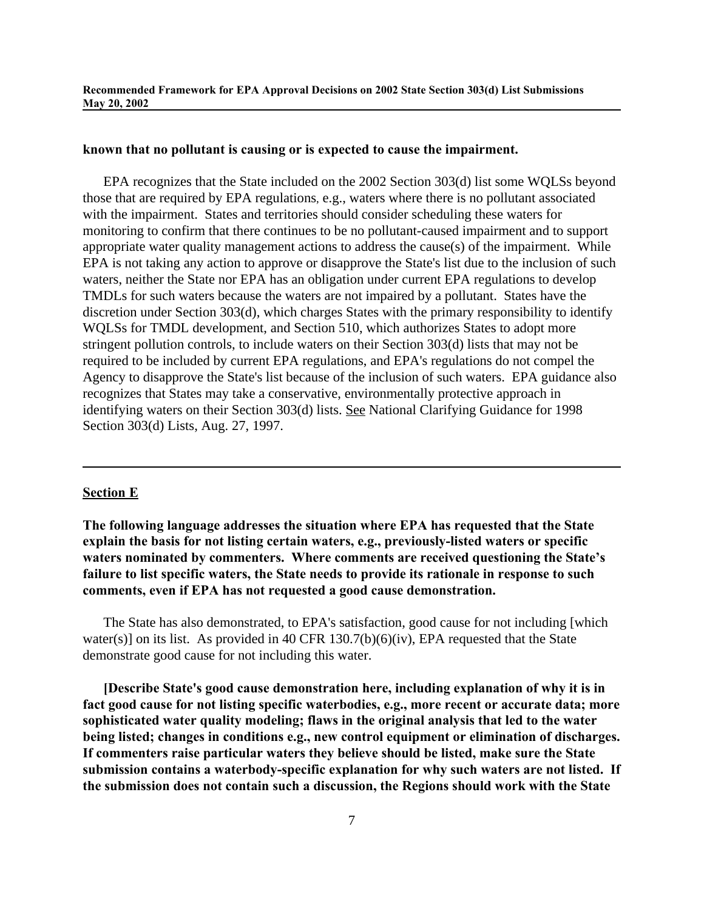#### **known that no pollutant is causing or is expected to cause the impairment.**

EPA recognizes that the State included on the 2002 Section 303(d) list some WQLSs beyond those that are required by EPA regulations, e.g., waters where there is no pollutant associated with the impairment. States and territories should consider scheduling these waters for monitoring to confirm that there continues to be no pollutant-caused impairment and to support appropriate water quality management actions to address the cause(s) of the impairment. While EPA is not taking any action to approve or disapprove the State's list due to the inclusion of such waters, neither the State nor EPA has an obligation under current EPA regulations to develop TMDLs for such waters because the waters are not impaired by a pollutant. States have the discretion under Section 303(d), which charges States with the primary responsibility to identify WQLSs for TMDL development, and Section 510, which authorizes States to adopt more stringent pollution controls, to include waters on their Section 303(d) lists that may not be required to be included by current EPA regulations, and EPA's regulations do not compel the Agency to disapprove the State's list because of the inclusion of such waters. EPA guidance also recognizes that States may take a conservative, environmentally protective approach in identifying waters on their Section 303(d) lists. See National Clarifying Guidance for 1998 Section 303(d) Lists, Aug. 27, 1997.

# **Section E**

**The following language addresses the situation where EPA has requested that the State explain the basis for not listing certain waters, e.g., previously-listed waters or specific waters nominated by commenters. Where comments are received questioning the State's failure to list specific waters, the State needs to provide its rationale in response to such comments, even if EPA has not requested a good cause demonstration.**

The State has also demonstrated, to EPA's satisfaction, good cause for not including [which water(s)] on its list. As provided in 40 CFR  $130.7(b)(6)(iv)$ , EPA requested that the State demonstrate good cause for not including this water.

**[Describe State's good cause demonstration here, including explanation of why it is in fact good cause for not listing specific waterbodies, e.g., more recent or accurate data; more sophisticated water quality modeling; flaws in the original analysis that led to the water being listed; changes in conditions e.g., new control equipment or elimination of discharges. If commenters raise particular waters they believe should be listed, make sure the State submission contains a waterbody-specific explanation for why such waters are not listed. If the submission does not contain such a discussion, the Regions should work with the State**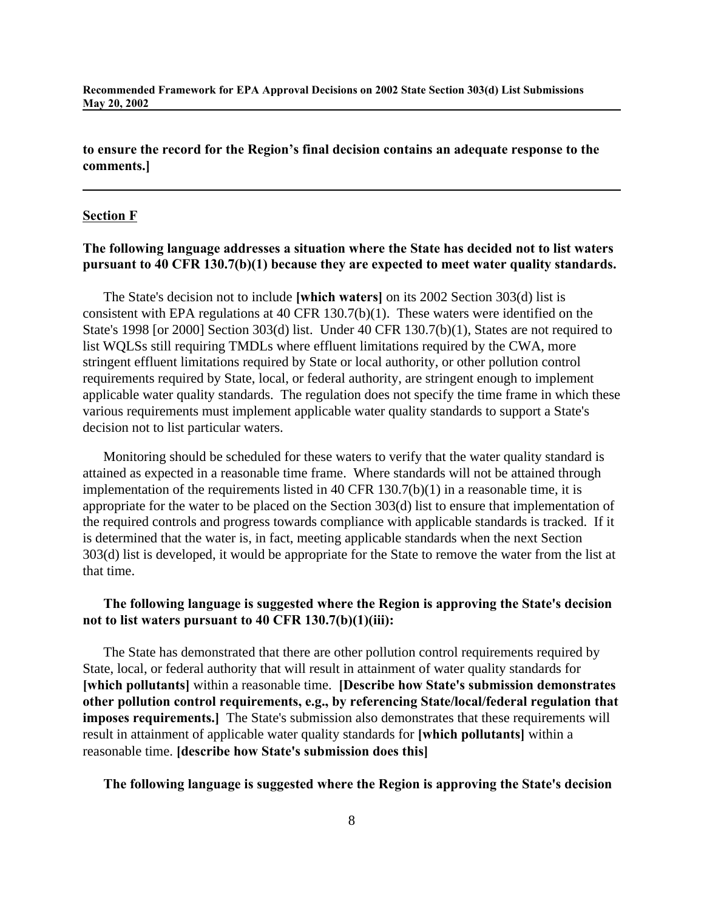**to ensure the record for the Region's final decision contains an adequate response to the comments.]**

#### **Section F**

# **The following language addresses a situation where the State has decided not to list waters pursuant to 40 CFR 130.7(b)(1) because they are expected to meet water quality standards.**

The State's decision not to include **[which waters]** on its 2002 Section 303(d) list is consistent with EPA regulations at 40 CFR 130.7(b)(1). These waters were identified on the State's 1998 [or 2000] Section 303(d) list. Under 40 CFR 130.7(b)(1), States are not required to list WQLSs still requiring TMDLs where effluent limitations required by the CWA, more stringent effluent limitations required by State or local authority, or other pollution control requirements required by State, local, or federal authority, are stringent enough to implement applicable water quality standards. The regulation does not specify the time frame in which these various requirements must implement applicable water quality standards to support a State's decision not to list particular waters.

Monitoring should be scheduled for these waters to verify that the water quality standard is attained as expected in a reasonable time frame. Where standards will not be attained through implementation of the requirements listed in 40 CFR 130.7(b)(1) in a reasonable time, it is appropriate for the water to be placed on the Section 303(d) list to ensure that implementation of the required controls and progress towards compliance with applicable standards is tracked. If it is determined that the water is, in fact, meeting applicable standards when the next Section 303(d) list is developed, it would be appropriate for the State to remove the water from the list at that time.

# **The following language is suggested where the Region is approving the State's decision not to list waters pursuant to 40 CFR 130.7(b)(1)(iii):**

The State has demonstrated that there are other pollution control requirements required by State, local, or federal authority that will result in attainment of water quality standards for **[which pollutants]** within a reasonable time. **[Describe how State's submission demonstrates other pollution control requirements, e.g., by referencing State/local/federal regulation that imposes requirements.** The State's submission also demonstrates that these requirements will result in attainment of applicable water quality standards for **[which pollutants]** within a reasonable time. **[describe how State's submission does this]**

### **The following language is suggested where the Region is approving the State's decision**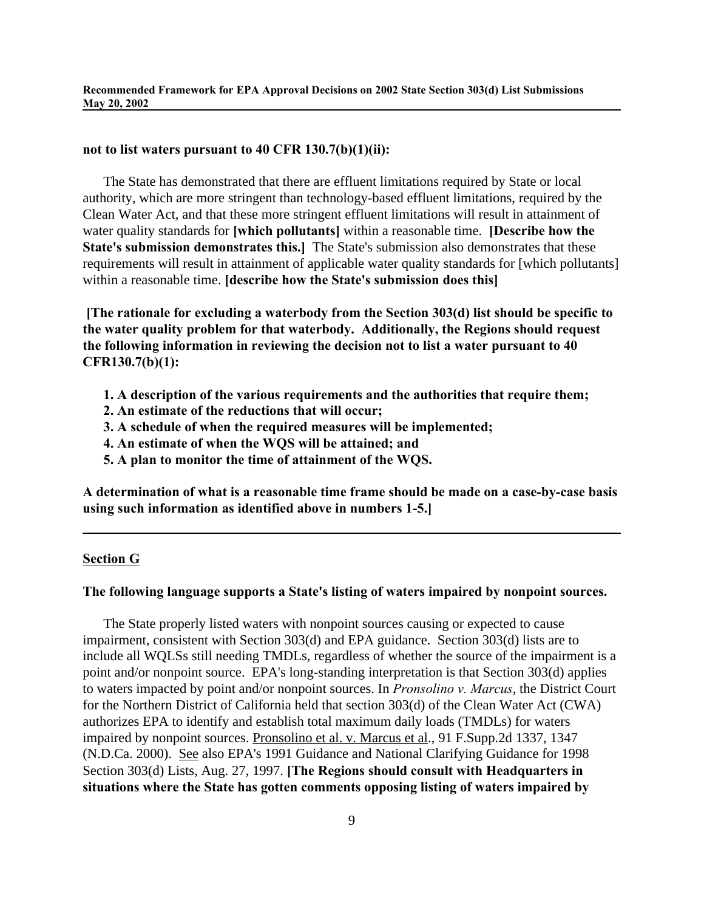### **not to list waters pursuant to 40 CFR 130.7(b)(1)(ii):**

The State has demonstrated that there are effluent limitations required by State or local authority, which are more stringent than technology-based effluent limitations, required by the Clean Water Act, and that these more stringent effluent limitations will result in attainment of water quality standards for **[which pollutants]** within a reasonable time. **[Describe how the State's submission demonstrates this.]** The State's submission also demonstrates that these requirements will result in attainment of applicable water quality standards for [which pollutants] within a reasonable time. **[describe how the State's submission does this]**

 **[The rationale for excluding a waterbody from the Section 303(d) list should be specific to the water quality problem for that waterbody. Additionally, the Regions should request the following information in reviewing the decision not to list a water pursuant to 40 CFR130.7(b)(1):**

- **1. A description of the various requirements and the authorities that require them;**
- **2. An estimate of the reductions that will occur;**
- **3. A schedule of when the required measures will be implemented;**
- **4. An estimate of when the WQS will be attained; and**
- **5. A plan to monitor the time of attainment of the WQS.**

**A determination of what is a reasonable time frame should be made on a case-by-case basis using such information as identified above in numbers 1-5.]**

### **Section G**

#### **The following language supports a State's listing of waters impaired by nonpoint sources.**

The State properly listed waters with nonpoint sources causing or expected to cause impairment, consistent with Section 303(d) and EPA guidance. Section 303(d) lists are to include all WQLSs still needing TMDLs, regardless of whether the source of the impairment is a point and/or nonpoint source. EPA's long-standing interpretation is that Section 303(d) applies to waters impacted by point and/or nonpoint sources. In *Pronsolino v. Marcus*, the District Court for the Northern District of California held that section 303(d) of the Clean Water Act (CWA) authorizes EPA to identify and establish total maximum daily loads (TMDLs) for waters impaired by nonpoint sources. Pronsolino et al. v. Marcus et al., 91 F.Supp.2d 1337, 1347 (N.D.Ca. 2000). See also EPA's 1991 Guidance and National Clarifying Guidance for 1998 Section 303(d) Lists, Aug. 27, 1997. **[The Regions should consult with Headquarters in situations where the State has gotten comments opposing listing of waters impaired by**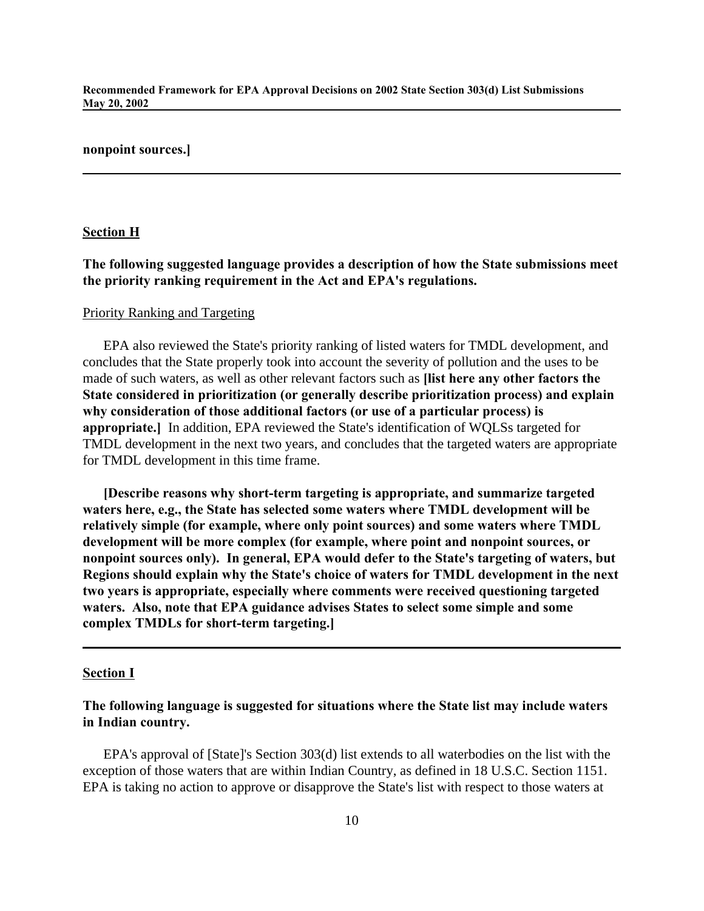### **nonpoint sources.]**

### **Section H**

# **The following suggested language provides a description of how the State submissions meet the priority ranking requirement in the Act and EPA's regulations.**

### Priority Ranking and Targeting

EPA also reviewed the State's priority ranking of listed waters for TMDL development, and concludes that the State properly took into account the severity of pollution and the uses to be made of such waters, as well as other relevant factors such as **[list here any other factors the State considered in prioritization (or generally describe prioritization process) and explain why consideration of those additional factors (or use of a particular process) is appropriate.]** In addition, EPA reviewed the State's identification of WQLSs targeted for TMDL development in the next two years, and concludes that the targeted waters are appropriate for TMDL development in this time frame.

**[Describe reasons why short-term targeting is appropriate, and summarize targeted waters here, e.g., the State has selected some waters where TMDL development will be relatively simple (for example, where only point sources) and some waters where TMDL development will be more complex (for example, where point and nonpoint sources, or nonpoint sources only). In general, EPA would defer to the State's targeting of waters, but Regions should explain why the State's choice of waters for TMDL development in the next two years is appropriate, especially where comments were received questioning targeted waters. Also, note that EPA guidance advises States to select some simple and some complex TMDLs for short-term targeting.]**

#### **Section I**

# **The following language is suggested for situations where the State list may include waters in Indian country.**

EPA's approval of [State]'s Section 303(d) list extends to all waterbodies on the list with the exception of those waters that are within Indian Country, as defined in 18 U.S.C. Section 1151. EPA is taking no action to approve or disapprove the State's list with respect to those waters at